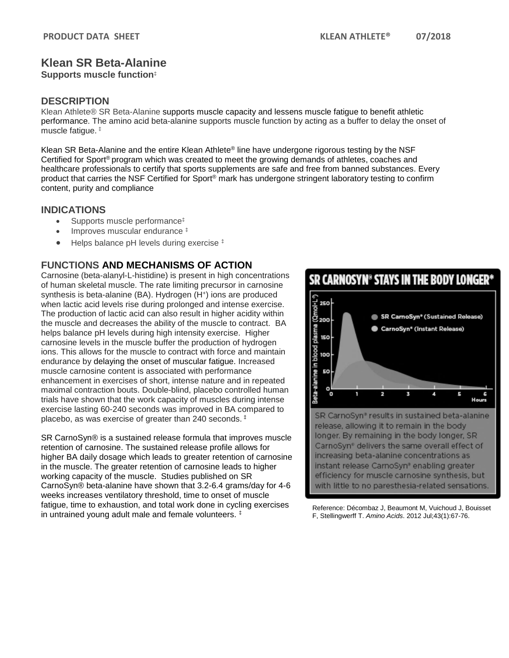# **Klean SR Beta-Alanine**

**Supports muscle function**‡

### **DESCRIPTION**

Klean Athlete® SR Beta-Alanine supports muscle capacity and lessens muscle fatigue to benefit athletic performance. The amino acid beta-alanine supports muscle function by acting as a buffer to delay the onset of muscle fatigue. ‡

Klean SR Beta-Alanine and the entire Klean Athlete® line have undergone rigorous testing by the NSF Certified for Sport<sup>®</sup> program which was created to meet the growing demands of athletes, coaches and healthcare professionals to certify that sports supplements are safe and free from banned substances. Every product that carries the NSF Certified for Sport® mark has undergone stringent laboratory testing to confirm content, purity and compliance

#### **INDICATIONS**

- Supports muscle performance‡
- Improves muscular endurance  $\pm$
- Helps balance pH levels during exercise  $\pm$

## **FUNCTIONS AND MECHANISMS OF ACTION**

Carnosine (beta-alanyl-L-histidine) is present in high concentrations of human skeletal muscle. The rate limiting precursor in carnosine synthesis is beta-alanine (BA). Hydrogen (H<sup>+</sup>) ions are produced when lactic acid levels rise during prolonged and intense exercise. The production of lactic acid can also result in higher acidity within the muscle and decreases the ability of the muscle to contract. BA helps balance pH levels during high intensity exercise. Higher carnosine levels in the muscle buffer the production of hydrogen ions. This allows for the muscle to contract with force and maintain endurance by delaying the onset of muscular fatigue. Increased muscle carnosine content is associated with performance enhancement in exercises of short, intense nature and in repeated maximal contraction bouts. Double-blind, placebo controlled human trials have shown that the work capacity of muscles during intense exercise lasting 60-240 seconds was improved in BA compared to placebo, as was exercise of greater than 240 seconds. ‡

SR CarnoSyn® is a sustained release formula that improves muscle retention of carnosine. The sustained release profile allows for higher BA daily dosage which leads to greater retention of carnosine in the muscle. The greater retention of carnosine leads to higher working capacity of the muscle. Studies published on SR CarnoSyn® beta-alanine have shown that 3.2-6.4 grams/day for 4-6 weeks increases ventilatory threshold, time to onset of muscle fatigue, time to exhaustion, and total work done in cycling exercises in untrained young adult male and female volunteers. ‡

SR CARNOSYN<sup>®</sup> STAYS IN THE BODY LONGER®



SR CarnoSyn® results in sustained beta-alanine release, allowing it to remain in the body longer. By remaining in the body longer, SR CarnoSyn<sup>®</sup> delivers the same overall effect of increasing beta-alanine concentrations as instant release CarnoSyn® enabling greater efficiency for muscle carnosine synthesis, but with little to no paresthesia-related sensations.

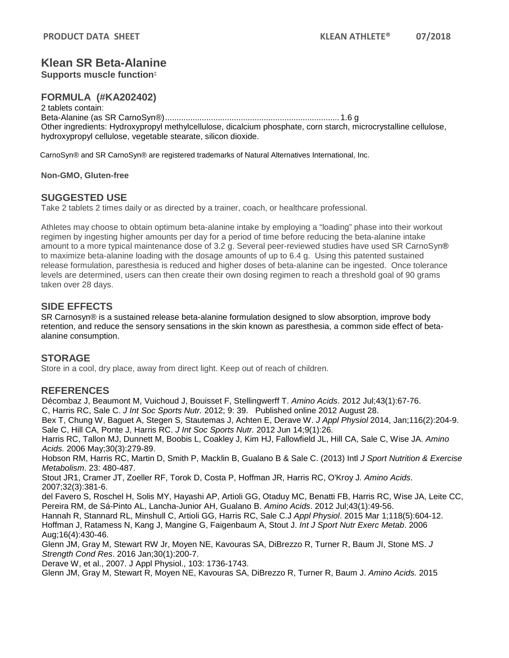# **Klean SR Beta-Alanine**

**Supports muscle function**‡

### **FORMULA (#KA202402)**

2 tablets contain: Beta-Alanine (as SR CarnoSyn®)............................................................................ 1.6 g Other ingredients: Hydroxypropyl methylcellulose, dicalcium phosphate, corn starch, microcrystalline cellulose, hydroxypropyl cellulose, vegetable stearate, silicon dioxide.

CarnoSyn® and SR CarnoSyn® are registered trademarks of Natural Alternatives International, Inc.

**Non-GMO, Gluten-free**

#### **SUGGESTED USE**

Take 2 tablets 2 times daily or as directed by a trainer, coach, or healthcare professional.

Athletes may choose to obtain optimum beta-alanine intake by employing a "loading" phase into their workout regimen by ingesting higher amounts per day for a period of time before reducing the beta-alanine intake amount to a more typical maintenance dose of 3.2 g. Several peer-reviewed studies have used SR CarnoSyn® to maximize beta-alanine loading with the dosage amounts of up to 6.4 g. Using this patented sustained release formulation, paresthesia is reduced and higher doses of beta-alanine can be ingested. Once tolerance levels are determined, users can then create their own dosing regimen to reach a threshold goal of 90 grams taken over 28 days.

#### **SIDE EFFECTS**

SR Carnosyn® is a sustained release beta-alanine formulation designed to slow absorption, improve body retention, and reduce the sensory sensations in the skin known as paresthesia, a common side effect of betaalanine consumption.

#### **STORAGE**

Store in a cool, dry place, away from direct light. Keep out of reach of children.

### **REFERENCES**

Décombaz J, Beaumont M, Vuichoud J, Bouisset F, Stellingwerff T. *Amino Acids*. 2012 Jul;43(1):67-76.

C, Harris RC, Sale C. *J Int Soc Sports Nutr.* 2012; 9: 39. Published online 2012 August 28.

Bex T, Chung W, Baguet A, Stegen S, Stautemas J, Achten E, Derave W. *J Appl Physiol* 2014, Jan;116(2):204-9. Sale C, Hill CA, Ponte J, Harris RC. *J Int Soc Sports Nutr.* 2012 Jun 14;9(1):26.

Harris RC, Tallon MJ, Dunnett M, Boobis L, Coakley J, Kim HJ, Fallowfield JL, Hill CA, Sale C, Wise JA. *Amino Acids.* 2006 May;30(3):279-89.

Hobson RM, Harris RC, Martin D, Smith P, Macklin B, Gualano B & Sale C. (2013) Intl *J Sport Nutrition & Exercise Metabolism*. 23: 480-487.

Stout JR1, Cramer JT, Zoeller RF, Torok D, Costa P, Hoffman JR, Harris RC, O'Kroy J*. Amino Acids*. 2007;32(3):381-6.

del Favero S, Roschel H, Solis MY, Hayashi AP, Artioli GG, Otaduy MC, Benatti FB, Harris RC, Wise JA, Leite CC, Pereira RM, de Sá-Pinto AL, Lancha-Junior AH, Gualano B. *Amino Acids*. 2012 Jul;43(1):49-56.

Hannah R, Stannard RL, Minshull C, Artioli GG, Harris RC, Sale C.J *Appl Physiol*. 2015 Mar 1;118(5):604-12.

Hoffman J, Ratamess N, Kang J, Mangine G, Faigenbaum A, Stout J. *Int J Sport Nutr Exerc Metab*. 2006 Aug;16(4):430-46.

Glenn JM, Gray M, Stewart RW Jr, Moyen NE, Kavouras SA, DiBrezzo R, Turner R, Baum JI, Stone MS. *J Strength Cond Res*. 2016 Jan;30(1):200-7.

Derave W, et al., 2007. J Appl Physiol., 103: 1736-1743.

Glenn JM, Gray M, Stewart R, Moyen NE, Kavouras SA, DiBrezzo R, Turner R, Baum J. *Amino Acids.* 2015